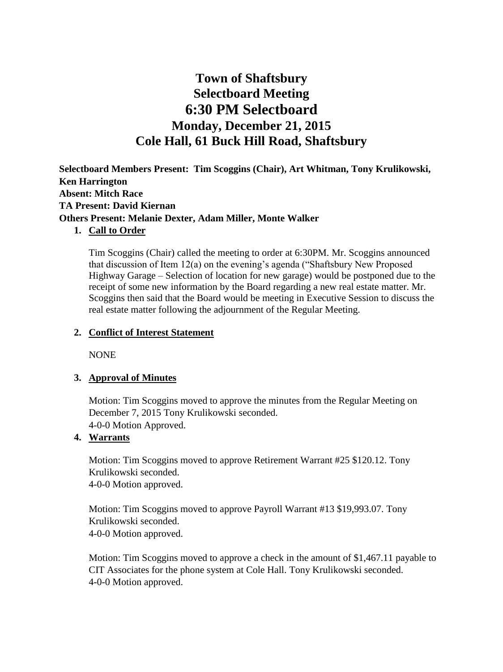# **Town of Shaftsbury Selectboard Meeting 6:30 PM Selectboard Monday, December 21, 2015 Cole Hall, 61 Buck Hill Road, Shaftsbury**

**Selectboard Members Present: Tim Scoggins (Chair), Art Whitman, Tony Krulikowski, Ken Harrington Absent: Mitch Race TA Present: David Kiernan Others Present: Melanie Dexter, Adam Miller, Monte Walker**

## **1. Call to Order**

Tim Scoggins (Chair) called the meeting to order at 6:30PM. Mr. Scoggins announced that discussion of Item 12(a) on the evening's agenda ("Shaftsbury New Proposed Highway Garage – Selection of location for new garage) would be postponed due to the receipt of some new information by the Board regarding a new real estate matter. Mr. Scoggins then said that the Board would be meeting in Executive Session to discuss the real estate matter following the adjournment of the Regular Meeting.

## **2. Conflict of Interest Statement**

NONE

## **3. Approval of Minutes**

Motion: Tim Scoggins moved to approve the minutes from the Regular Meeting on December 7, 2015 Tony Krulikowski seconded. 4-0-0 Motion Approved.

## **4. Warrants**

Motion: Tim Scoggins moved to approve Retirement Warrant #25 \$120.12. Tony Krulikowski seconded. 4-0-0 Motion approved.

Motion: Tim Scoggins moved to approve Payroll Warrant #13 \$19,993.07. Tony Krulikowski seconded. 4-0-0 Motion approved.

Motion: Tim Scoggins moved to approve a check in the amount of \$1,467.11 payable to CIT Associates for the phone system at Cole Hall. Tony Krulikowski seconded. 4-0-0 Motion approved.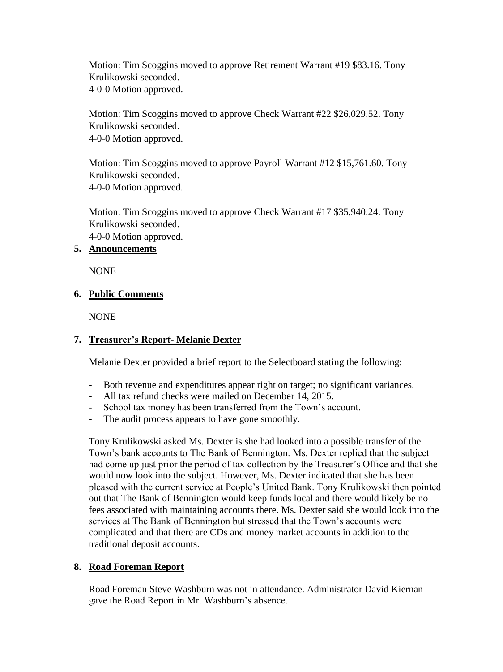Motion: Tim Scoggins moved to approve Retirement Warrant #19 \$83.16. Tony Krulikowski seconded. 4-0-0 Motion approved.

Motion: Tim Scoggins moved to approve Check Warrant #22 \$26,029.52. Tony Krulikowski seconded. 4-0-0 Motion approved.

Motion: Tim Scoggins moved to approve Payroll Warrant #12 \$15,761.60. Tony Krulikowski seconded. 4-0-0 Motion approved.

Motion: Tim Scoggins moved to approve Check Warrant #17 \$35,940.24. Tony Krulikowski seconded.

4-0-0 Motion approved.

## **5. Announcements**

NONE

## **6. Public Comments**

NONE

## **7. Treasurer's Report- Melanie Dexter**

Melanie Dexter provided a brief report to the Selectboard stating the following:

- Both revenue and expenditures appear right on target; no significant variances.
- All tax refund checks were mailed on December 14, 2015.
- School tax money has been transferred from the Town's account.
- The audit process appears to have gone smoothly.

Tony Krulikowski asked Ms. Dexter is she had looked into a possible transfer of the Town's bank accounts to The Bank of Bennington. Ms. Dexter replied that the subject had come up just prior the period of tax collection by the Treasurer's Office and that she would now look into the subject. However, Ms. Dexter indicated that she has been pleased with the current service at People's United Bank. Tony Krulikowski then pointed out that The Bank of Bennington would keep funds local and there would likely be no fees associated with maintaining accounts there. Ms. Dexter said she would look into the services at The Bank of Bennington but stressed that the Town's accounts were complicated and that there are CDs and money market accounts in addition to the traditional deposit accounts.

## **8. Road Foreman Report**

Road Foreman Steve Washburn was not in attendance. Administrator David Kiernan gave the Road Report in Mr. Washburn's absence.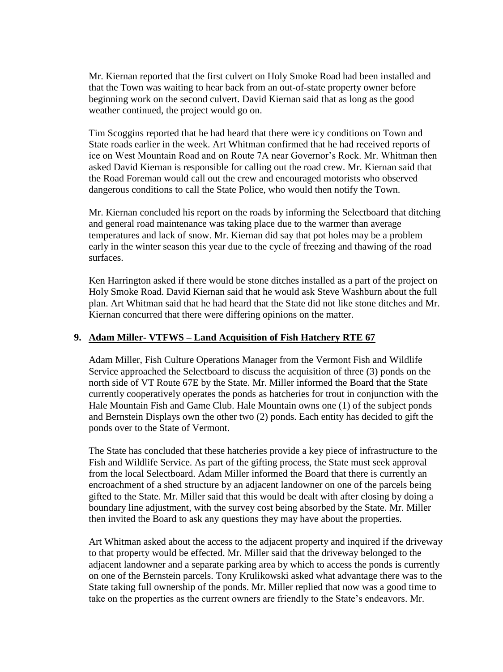Mr. Kiernan reported that the first culvert on Holy Smoke Road had been installed and that the Town was waiting to hear back from an out-of-state property owner before beginning work on the second culvert. David Kiernan said that as long as the good weather continued, the project would go on.

Tim Scoggins reported that he had heard that there were icy conditions on Town and State roads earlier in the week. Art Whitman confirmed that he had received reports of ice on West Mountain Road and on Route 7A near Governor's Rock. Mr. Whitman then asked David Kiernan is responsible for calling out the road crew. Mr. Kiernan said that the Road Foreman would call out the crew and encouraged motorists who observed dangerous conditions to call the State Police, who would then notify the Town.

Mr. Kiernan concluded his report on the roads by informing the Selectboard that ditching and general road maintenance was taking place due to the warmer than average temperatures and lack of snow. Mr. Kiernan did say that pot holes may be a problem early in the winter season this year due to the cycle of freezing and thawing of the road surfaces.

Ken Harrington asked if there would be stone ditches installed as a part of the project on Holy Smoke Road. David Kiernan said that he would ask Steve Washburn about the full plan. Art Whitman said that he had heard that the State did not like stone ditches and Mr. Kiernan concurred that there were differing opinions on the matter.

## **9. Adam Miller- VTFWS – Land Acquisition of Fish Hatchery RTE 67**

Adam Miller, Fish Culture Operations Manager from the Vermont Fish and Wildlife Service approached the Selectboard to discuss the acquisition of three (3) ponds on the north side of VT Route 67E by the State. Mr. Miller informed the Board that the State currently cooperatively operates the ponds as hatcheries for trout in conjunction with the Hale Mountain Fish and Game Club. Hale Mountain owns one (1) of the subject ponds and Bernstein Displays own the other two (2) ponds. Each entity has decided to gift the ponds over to the State of Vermont.

The State has concluded that these hatcheries provide a key piece of infrastructure to the Fish and Wildlife Service. As part of the gifting process, the State must seek approval from the local Selectboard. Adam Miller informed the Board that there is currently an encroachment of a shed structure by an adjacent landowner on one of the parcels being gifted to the State. Mr. Miller said that this would be dealt with after closing by doing a boundary line adjustment, with the survey cost being absorbed by the State. Mr. Miller then invited the Board to ask any questions they may have about the properties.

Art Whitman asked about the access to the adjacent property and inquired if the driveway to that property would be effected. Mr. Miller said that the driveway belonged to the adjacent landowner and a separate parking area by which to access the ponds is currently on one of the Bernstein parcels. Tony Krulikowski asked what advantage there was to the State taking full ownership of the ponds. Mr. Miller replied that now was a good time to take on the properties as the current owners are friendly to the State's endeavors. Mr.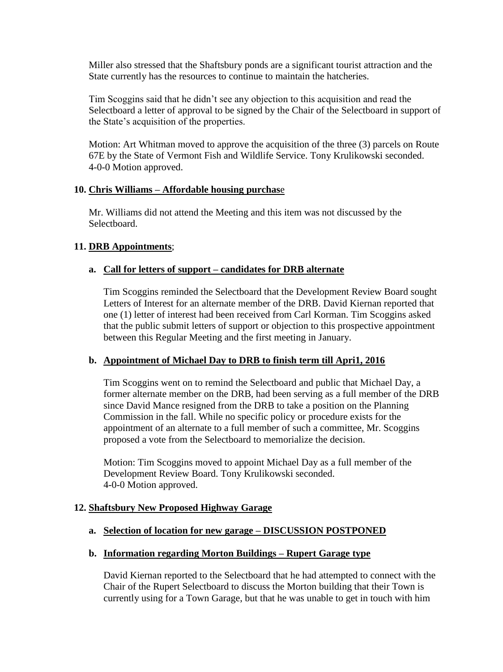Miller also stressed that the Shaftsbury ponds are a significant tourist attraction and the State currently has the resources to continue to maintain the hatcheries.

Tim Scoggins said that he didn't see any objection to this acquisition and read the Selectboard a letter of approval to be signed by the Chair of the Selectboard in support of the State's acquisition of the properties.

Motion: Art Whitman moved to approve the acquisition of the three (3) parcels on Route 67E by the State of Vermont Fish and Wildlife Service. Tony Krulikowski seconded. 4-0-0 Motion approved.

#### **10. Chris Williams – Affordable housing purchas**e

Mr. Williams did not attend the Meeting and this item was not discussed by the Selectboard.

## **11. DRB Appointments**;

## **a. Call for letters of support – candidates for DRB alternate**

Tim Scoggins reminded the Selectboard that the Development Review Board sought Letters of Interest for an alternate member of the DRB. David Kiernan reported that one (1) letter of interest had been received from Carl Korman. Tim Scoggins asked that the public submit letters of support or objection to this prospective appointment between this Regular Meeting and the first meeting in January.

#### **b. Appointment of Michael Day to DRB to finish term till Apri1, 2016**

Tim Scoggins went on to remind the Selectboard and public that Michael Day, a former alternate member on the DRB, had been serving as a full member of the DRB since David Mance resigned from the DRB to take a position on the Planning Commission in the fall. While no specific policy or procedure exists for the appointment of an alternate to a full member of such a committee, Mr. Scoggins proposed a vote from the Selectboard to memorialize the decision.

Motion: Tim Scoggins moved to appoint Michael Day as a full member of the Development Review Board. Tony Krulikowski seconded. 4-0-0 Motion approved.

#### **12. Shaftsbury New Proposed Highway Garage**

#### **a. Selection of location for new garage – DISCUSSION POSTPONED**

#### **b. Information regarding Morton Buildings – Rupert Garage type**

David Kiernan reported to the Selectboard that he had attempted to connect with the Chair of the Rupert Selectboard to discuss the Morton building that their Town is currently using for a Town Garage, but that he was unable to get in touch with him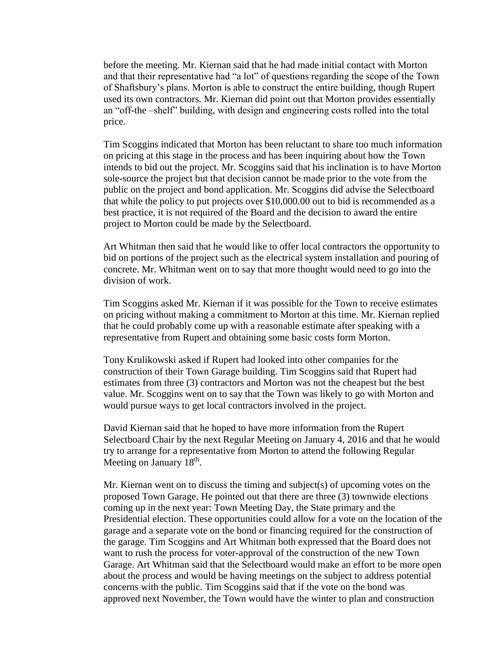before the meeting. Mr. Kiernan said that he had made initial contact with Morton and that their representative had "a lot" of questions regarding the scope of the Town of Shaftsbury's plans. Morton is able to construct the entire building, though Rupert used its own contractors. Mr. Kiernan did point out that Morton provides essentially an "off-the –shelf" building, with design and engineering costs rolled into the total price.

Tim Scoggins indicated that Morton has been reluctant to share too much information on pricing at this stage in the process and has been inquiring about how the Town intends to bid out the project. Mr. Scoggins said that his inclination is to have Morton sole-source the project but that decision cannot be made prior to the vote from the public on the project and bond application. Mr. Scoggins did advise the Selectboard that while the policy to put projects over \$10,000.00 out to bid is recommended as a best practice, it is not required of the Board and the decision to award the entire project to Morton could be made by the Selectboard.

Art Whitman then said that he would like to offer local contractors the opportunity to bid on portions of the project such as the electrical system installation and pouring of concrete. Mr. Whitman went on to say that more thought would need to go into the division of work.

Tim Scoggins asked Mr. Kiernan if it was possible for the Town to receive estimates on pricing without making a commitment to Morton at this time. Mr. Kiernan replied that he could probably come up with a reasonable estimate after speaking with a representative from Rupert and obtaining some basic costs form Morton.

Tony Krulikowski asked if Rupert had looked into other companies for the construction of their Town Garage building. Tim Scoggins said that Rupert had estimates from three (3) contractors and Morton was not the cheapest but the best value. Mr. Scoggins went on to say that the Town was likely to go with Morton and would pursue ways to get local contractors involved in the project.

David Kiernan said that he hoped to have more information from the Rupert Selectboard Chair by the next Regular Meeting on January 4, 2016 and that he would try to arrange for a representative from Morton to attend the following Regular Meeting on January  $18<sup>th</sup>$ .

Mr. Kiernan went on to discuss the timing and subject(s) of upcoming votes on the proposed Town Garage. He pointed out that there are three (3) townwide elections coming up in the next year: Town Meeting Day, the State primary and the Presidential election. These opportunities could allow for a vote on the location of the garage and a separate vote on the bond or financing required for the construction of the garage. Tim Scoggins and Art Whitman both expressed that the Board does not want to rush the process for voter-approval of the construction of the new Town Garage. Art Whitman said that the Selectboard would make an effort to be more open about the process and would be having meetings on the subject to address potential concerns with the public. Tim Scoggins said that if the vote on the bond was approved next November, the Town would have the winter to plan and construction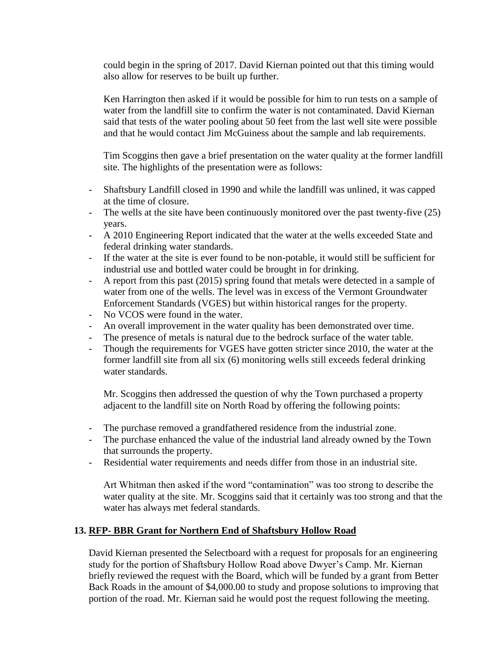could begin in the spring of 2017. David Kiernan pointed out that this timing would also allow for reserves to be built up further.

Ken Harrington then asked if it would be possible for him to run tests on a sample of water from the landfill site to confirm the water is not contaminated. David Kiernan said that tests of the water pooling about 50 feet from the last well site were possible and that he would contact Jim McGuiness about the sample and lab requirements.

Tim Scoggins then gave a brief presentation on the water quality at the former landfill site. The highlights of the presentation were as follows:

- Shaftsbury Landfill closed in 1990 and while the landfill was unlined, it was capped at the time of closure.
- The wells at the site have been continuously monitored over the past twenty-five (25) years.
- A 2010 Engineering Report indicated that the water at the wells exceeded State and federal drinking water standards.
- If the water at the site is ever found to be non-potable, it would still be sufficient for industrial use and bottled water could be brought in for drinking.
- A report from this past (2015) spring found that metals were detected in a sample of water from one of the wells. The level was in excess of the Vermont Groundwater Enforcement Standards (VGES) but within historical ranges for the property.
- No VCOS were found in the water.
- An overall improvement in the water quality has been demonstrated over time.
- The presence of metals is natural due to the bedrock surface of the water table.
- Though the requirements for VGES have gotten stricter since 2010, the water at the former landfill site from all six (6) monitoring wells still exceeds federal drinking water standards.

Mr. Scoggins then addressed the question of why the Town purchased a property adjacent to the landfill site on North Road by offering the following points:

- The purchase removed a grandfathered residence from the industrial zone.
- The purchase enhanced the value of the industrial land already owned by the Town that surrounds the property.
- Residential water requirements and needs differ from those in an industrial site.

Art Whitman then asked if the word "contamination" was too strong to describe the water quality at the site. Mr. Scoggins said that it certainly was too strong and that the water has always met federal standards.

#### **13. RFP- BBR Grant for Northern End of Shaftsbury Hollow Road**

David Kiernan presented the Selectboard with a request for proposals for an engineering study for the portion of Shaftsbury Hollow Road above Dwyer's Camp. Mr. Kiernan briefly reviewed the request with the Board, which will be funded by a grant from Better Back Roads in the amount of \$4,000.00 to study and propose solutions to improving that portion of the road. Mr. Kiernan said he would post the request following the meeting.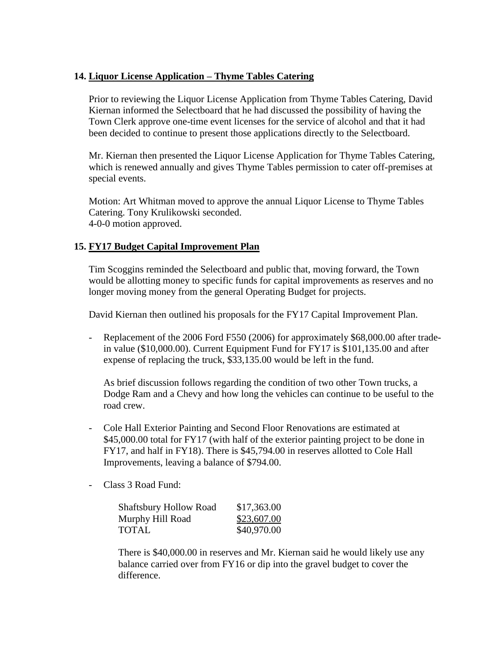## **14. Liquor License Application – Thyme Tables Catering**

Prior to reviewing the Liquor License Application from Thyme Tables Catering, David Kiernan informed the Selectboard that he had discussed the possibility of having the Town Clerk approve one-time event licenses for the service of alcohol and that it had been decided to continue to present those applications directly to the Selectboard.

Mr. Kiernan then presented the Liquor License Application for Thyme Tables Catering, which is renewed annually and gives Thyme Tables permission to cater off-premises at special events.

Motion: Art Whitman moved to approve the annual Liquor License to Thyme Tables Catering. Tony Krulikowski seconded. 4-0-0 motion approved.

## **15. FY17 Budget Capital Improvement Plan**

Tim Scoggins reminded the Selectboard and public that, moving forward, the Town would be allotting money to specific funds for capital improvements as reserves and no longer moving money from the general Operating Budget for projects.

David Kiernan then outlined his proposals for the FY17 Capital Improvement Plan.

- Replacement of the 2006 Ford F550 (2006) for approximately \$68,000.00 after tradein value (\$10,000.00). Current Equipment Fund for FY17 is \$101,135.00 and after expense of replacing the truck, \$33,135.00 would be left in the fund.

As brief discussion follows regarding the condition of two other Town trucks, a Dodge Ram and a Chevy and how long the vehicles can continue to be useful to the road crew.

- Cole Hall Exterior Painting and Second Floor Renovations are estimated at \$45,000.00 total for FY17 (with half of the exterior painting project to be done in FY17, and half in FY18). There is \$45,794.00 in reserves allotted to Cole Hall Improvements, leaving a balance of \$794.00.
- Class 3 Road Fund:

| <b>Shaftsbury Hollow Road</b> | \$17,363.00 |
|-------------------------------|-------------|
| Murphy Hill Road              | \$23,607.00 |
| <b>TOTAL</b>                  | \$40,970.00 |

There is \$40,000.00 in reserves and Mr. Kiernan said he would likely use any balance carried over from FY16 or dip into the gravel budget to cover the difference.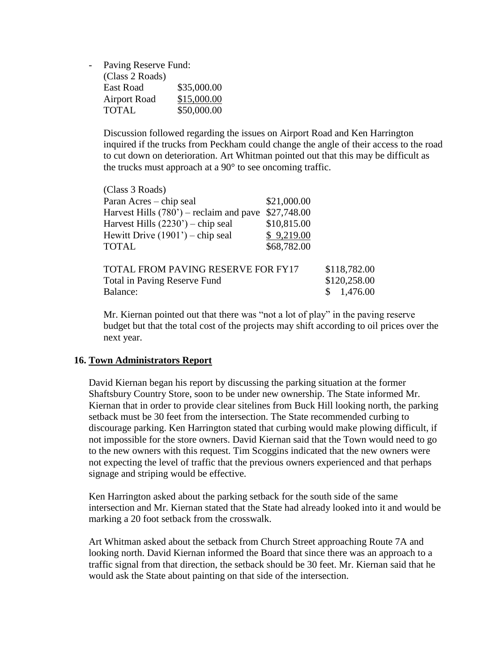- Paving Reserve Fund:

 $(CI \qquad 2R \qquad 1)$ 

| (Class 2 Roads)     |             |
|---------------------|-------------|
| East Road           | \$35,000.00 |
| <b>Airport Road</b> | \$15,000.00 |
| <b>TOTAL</b>        | \$50,000.00 |

Discussion followed regarding the issues on Airport Road and Ken Harrington inquired if the trucks from Peckham could change the angle of their access to the road to cut down on deterioration. Art Whitman pointed out that this may be difficult as the trucks must approach at a  $90^{\circ}$  to see oncoming traffic.

| \$21,000.00                                             |                                           |
|---------------------------------------------------------|-------------------------------------------|
| \$27,748.00<br>Harvest Hills $(780)$ – reclaim and pave |                                           |
| \$10,815.00                                             |                                           |
| \$9,219.00                                              |                                           |
| \$68,782.00                                             |                                           |
|                                                         | \$118,782.00                              |
|                                                         | \$120,258.00                              |
|                                                         | 1,476.00                                  |
|                                                         | <b>TOTAL FROM PAVING RESERVE FOR FY17</b> |

Mr. Kiernan pointed out that there was "not a lot of play" in the paving reserve budget but that the total cost of the projects may shift according to oil prices over the next year.

## **16. Town Administrators Report**

David Kiernan began his report by discussing the parking situation at the former Shaftsbury Country Store, soon to be under new ownership. The State informed Mr. Kiernan that in order to provide clear sitelines from Buck Hill looking north, the parking setback must be 30 feet from the intersection. The State recommended curbing to discourage parking. Ken Harrington stated that curbing would make plowing difficult, if not impossible for the store owners. David Kiernan said that the Town would need to go to the new owners with this request. Tim Scoggins indicated that the new owners were not expecting the level of traffic that the previous owners experienced and that perhaps signage and striping would be effective.

Ken Harrington asked about the parking setback for the south side of the same intersection and Mr. Kiernan stated that the State had already looked into it and would be marking a 20 foot setback from the crosswalk.

Art Whitman asked about the setback from Church Street approaching Route 7A and looking north. David Kiernan informed the Board that since there was an approach to a traffic signal from that direction, the setback should be 30 feet. Mr. Kiernan said that he would ask the State about painting on that side of the intersection.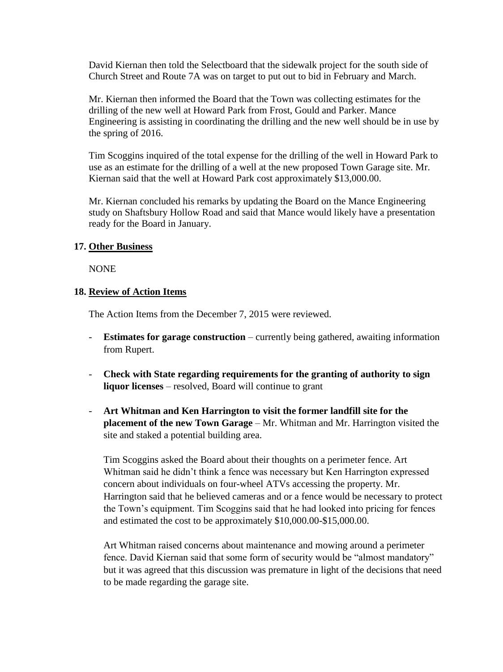David Kiernan then told the Selectboard that the sidewalk project for the south side of Church Street and Route 7A was on target to put out to bid in February and March.

Mr. Kiernan then informed the Board that the Town was collecting estimates for the drilling of the new well at Howard Park from Frost, Gould and Parker. Mance Engineering is assisting in coordinating the drilling and the new well should be in use by the spring of 2016.

Tim Scoggins inquired of the total expense for the drilling of the well in Howard Park to use as an estimate for the drilling of a well at the new proposed Town Garage site. Mr. Kiernan said that the well at Howard Park cost approximately \$13,000.00.

Mr. Kiernan concluded his remarks by updating the Board on the Mance Engineering study on Shaftsbury Hollow Road and said that Mance would likely have a presentation ready for the Board in January.

#### **17. Other Business**

NONE

## **18. Review of Action Items**

The Action Items from the December 7, 2015 were reviewed.

- **Estimates for garage construction** currently being gathered, awaiting information from Rupert.
- **Check with State regarding requirements for the granting of authority to sign liquor licenses** – resolved, Board will continue to grant
- **Art Whitman and Ken Harrington to visit the former landfill site for the placement of the new Town Garage** – Mr. Whitman and Mr. Harrington visited the site and staked a potential building area.

Tim Scoggins asked the Board about their thoughts on a perimeter fence. Art Whitman said he didn't think a fence was necessary but Ken Harrington expressed concern about individuals on four-wheel ATVs accessing the property. Mr. Harrington said that he believed cameras and or a fence would be necessary to protect the Town's equipment. Tim Scoggins said that he had looked into pricing for fences and estimated the cost to be approximately \$10,000.00-\$15,000.00.

Art Whitman raised concerns about maintenance and mowing around a perimeter fence. David Kiernan said that some form of security would be "almost mandatory" but it was agreed that this discussion was premature in light of the decisions that need to be made regarding the garage site.